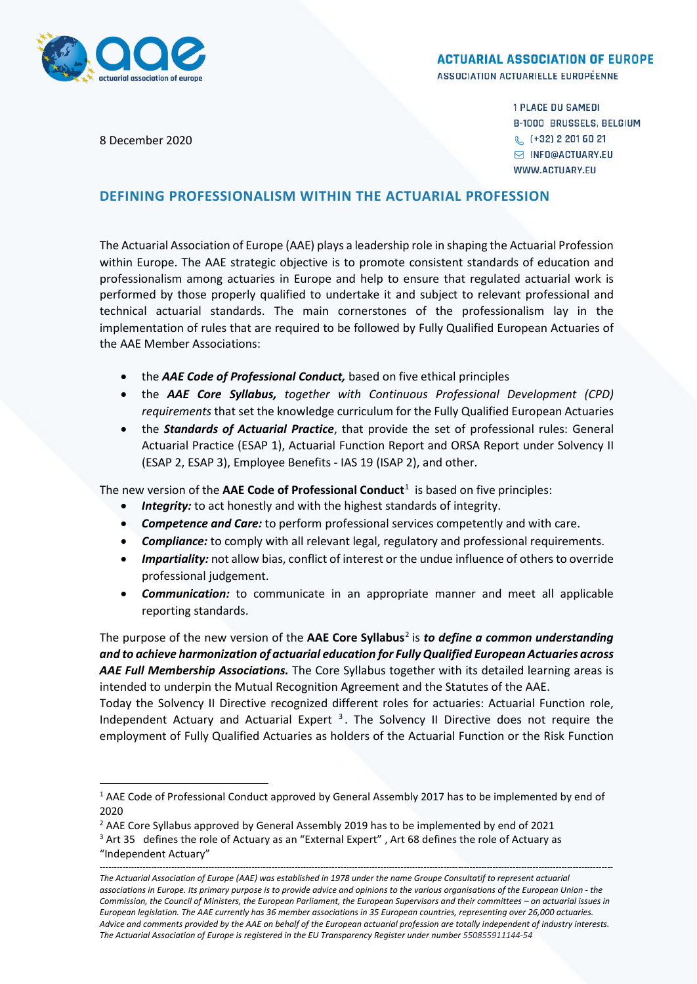

## **ACTUARIAL ASSOCIATION OF EUROPE**

ASSOCIATION ACTUARIELLE EUROPÉENNE

8 December 2020

**1 PLACE DU SAMEDI B-1000 BRUSSELS, BELGIUM** & (+32) 2 201 60 21 **S INFO@ACTUARY.EU** WWW.ACTUARY.EU

## **DEFINING PROFESSIONALISM WITHIN THE ACTUARIAL PROFESSION**

The Actuarial Association of Europe (AAE) plays a leadership role in shaping the Actuarial Profession within Europe. The AAE strategic objective is to promote consistent standards of education and professionalism among actuaries in Europe and help to ensure that regulated actuarial work is performed by those properly qualified to undertake it and subject to relevant professional and technical actuarial standards. The main cornerstones of the professionalism lay in the implementation of rules that are required to be followed by Fully Qualified European Actuaries of the AAE Member Associations:

- the *AAE Code of Professional Conduct,* based on five ethical principles
- the *AAE Core Syllabus, together with Continuous Professional Development (CPD) requirements* that set the knowledge curriculum for the Fully Qualified European Actuaries
- the *Standards of Actuarial Practice*, that provide the set of professional rules: General Actuarial Practice (ESAP 1), Actuarial Function Report and ORSA Report under Solvency II (ESAP 2, ESAP 3), Employee Benefits - IAS 19 (ISAP 2), and other.

The new version of the **AAE Code of Professional Conduct**<sup>[1](#page-0-0)</sup> is based on five principles:

- Integrity: to act honestly and with the highest standards of integrity.
- *Competence and Care:* to perform professional services competently and with care.
- *Compliance:* to comply with all relevant legal, regulatory and professional requirements.
- *Impartiality:* not allow bias, conflict of interest or the undue influence of others to override professional judgement.
- *Communication:* to communicate in an appropriate manner and meet all applicable reporting standards.

The purpose of the new version of the **AAE Core Syllabus**[2](#page-0-1) is *to define a common understanding and to achieve harmonization of actuarial education for Fully Qualified European Actuaries across AAE Full Membership Associations.* The Core Syllabus together with its detailed learning areas is intended to underpin the Mutual Recognition Agreement and the Statutes of the AAE.

Today the Solvency II Directive recognized different roles for actuaries: Actuarial Function role, Independent Actuary and Actuarial Expert  $3$ . The Solvency II Directive does not require the employment of Fully Qualified Actuaries as holders of the Actuarial Function or the Risk Function

<span id="page-0-0"></span> <sup>1</sup> AAE Code of Professional Conduct approved by General Assembly 2017 has to be implemented by end of 2020

<span id="page-0-1"></span><sup>&</sup>lt;sup>2</sup> AAE Core Syllabus approved by General Assembly 2019 has to be implemented by end of 2021

<span id="page-0-2"></span> $3$  Art 35 defines the role of Actuary as an "External Expert", Art 68 defines the role of Actuary as "Independent Actuary"

*<sup>-----------------------------------------------------------------------------------------------------------------------------------------------------------------------------------</sup> The Actuarial Association of Europe (AAE) was established in 1978 under the name Groupe Consultatif to represent actuarial associations in Europe. Its primary purpose is to provide advice and opinions to the various organisations of the European Union - the Commission, the Council of Ministers, the European Parliament, the European Supervisors and their committees – on actuarial issues in European legislation. The AAE currently has 36 member associations in 35 European countries, representing over 26,000 actuaries. Advice and comments provided by the AAE on behalf of the European actuarial profession are totally independent of industry interests. The Actuarial Association of Europe is registered in the EU Transparency Register under number 550855911144-54*